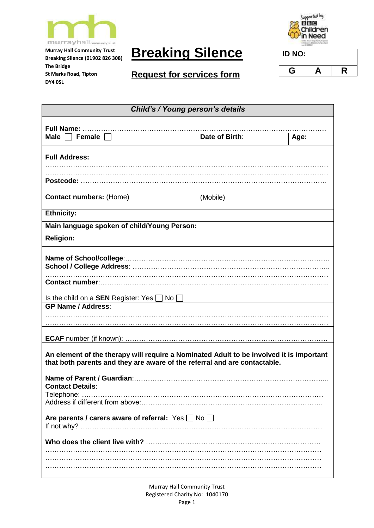

**Murray Hall Community Trust Breaking Silence (01902 826 308)** 

**St Marks Road, Tipton**

**The Bridge**

**DY4 0SL**

**Breaking Silence**





| <b>STREET AT RESTS WORKSHIP</b> |   |   |
|---------------------------------|---|---|
| ID NO:                          |   |   |
|                                 |   |   |
| G                               | А | R |

| Child's / Young person's details                                                                                                                                     |                |      |
|----------------------------------------------------------------------------------------------------------------------------------------------------------------------|----------------|------|
|                                                                                                                                                                      |                |      |
| Female<br>Male $\Box$                                                                                                                                                | Date of Birth: | Age: |
| <b>Full Address:</b>                                                                                                                                                 |                |      |
|                                                                                                                                                                      |                |      |
| <b>Contact numbers: (Home)</b>                                                                                                                                       | (Mobile)       |      |
| <b>Ethnicity:</b>                                                                                                                                                    |                |      |
| Main language spoken of child/Young Person:                                                                                                                          |                |      |
| <b>Religion:</b>                                                                                                                                                     |                |      |
|                                                                                                                                                                      |                |      |
| Is the child on a <b>SEN</b> Register: Yes $\Box$ No $\Box$                                                                                                          |                |      |
| <b>GP Name / Address:</b>                                                                                                                                            |                |      |
|                                                                                                                                                                      |                |      |
|                                                                                                                                                                      |                |      |
| An element of the therapy will require a Nominated Adult to be involved it is important<br>that both parents and they are aware of the referral and are contactable. |                |      |
| <b>Contact Details:</b>                                                                                                                                              |                |      |
|                                                                                                                                                                      |                |      |
| Are parents / carers aware of referral: Yes No                                                                                                                       |                |      |
|                                                                                                                                                                      |                |      |
|                                                                                                                                                                      |                |      |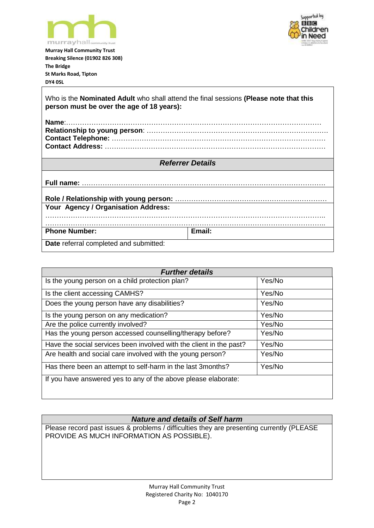



**Murray Hall Community Trust Breaking Silence (01902 826 308) The Bridge St Marks Road, Tipton DY4 0SL**

Who is the **Nominated Adult** who shall attend the final sessions **(Please note that this person must be over the age of 18 years): Name**:………………………………………………………………………………………………… **Relationship to young person**: ……………………………………………………………………. **Contact Telephone:** ………………………………………………………………………………… **Contact Address:** …………………………………………………………………………………… *Referrer Details* **Full name:** ……………………………………………………………………………………………. **Role / Relationship with young person:** ………………………………………………………… **Your Agency / Organisation Address:**  ………………………………………………………………………………………………………….. ………………………………………………………………………………………………………….. Phone Number: **Email: Date** referral completed and submitted:

| <b>Further details</b>                                              |        |  |
|---------------------------------------------------------------------|--------|--|
| Is the young person on a child protection plan?                     | Yes/No |  |
| Is the client accessing CAMHS?                                      | Yes/No |  |
| Does the young person have any disabilities?                        | Yes/No |  |
| Is the young person on any medication?                              | Yes/No |  |
| Are the police currently involved?                                  | Yes/No |  |
| Has the young person accessed counselling/therapy before?           | Yes/No |  |
| Have the social services been involved with the client in the past? | Yes/No |  |
| Are health and social care involved with the young person?          | Yes/No |  |
| Has there been an attempt to self-harm in the last 3months?         | Yes/No |  |
| If you have answered yes to any of the above please elaborate:      |        |  |

## *Nature and details of Self harm*

Please record past issues & problems / difficulties they are presenting currently (PLEASE PROVIDE AS MUCH INFORMATION AS POSSIBLE).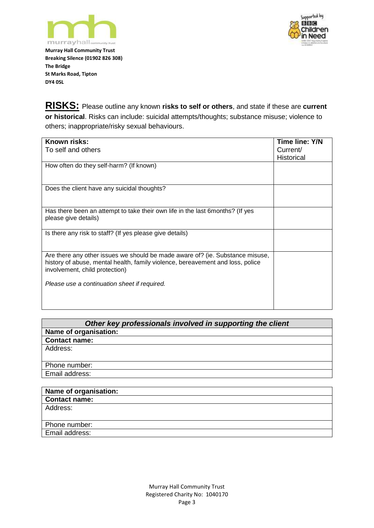



**Murray Hall Community Trust Breaking Silence (01902 826 308) The Bridge St Marks Road, Tipton DY4 0SL**

**RISKS:** Please outline any known **risks to self or others**, and state if these are **current or historical**. Risks can include: suicidal attempts/thoughts; substance misuse; violence to others; inappropriate/risky sexual behaviours.

| Known risks:                                                                                                     | Time line: Y/N    |
|------------------------------------------------------------------------------------------------------------------|-------------------|
| To self and others                                                                                               | Current/          |
|                                                                                                                  | <b>Historical</b> |
| How often do they self-harm? (If known)                                                                          |                   |
|                                                                                                                  |                   |
| Does the client have any suicidal thoughts?                                                                      |                   |
|                                                                                                                  |                   |
| Has there been an attempt to take their own life in the last 6 months? (If yes                                   |                   |
| please give details)                                                                                             |                   |
| Is there any risk to staff? (If yes please give details)                                                         |                   |
|                                                                                                                  |                   |
| Are there any other issues we should be made aware of? (ie. Substance misuse,                                    |                   |
| history of abuse, mental health, family violence, bereavement and loss, police<br>involvement, child protection) |                   |
|                                                                                                                  |                   |
| Please use a continuation sheet if required.                                                                     |                   |
|                                                                                                                  |                   |
|                                                                                                                  |                   |

| Other key professionals involved in supporting the client |  |  |
|-----------------------------------------------------------|--|--|
| Name of organisation:                                     |  |  |
| <b>Contact name:</b>                                      |  |  |
| Address:                                                  |  |  |
|                                                           |  |  |
| Phone number:                                             |  |  |
| Email address:                                            |  |  |
|                                                           |  |  |

| Name of organisation: |
|-----------------------|
| <b>Contact name:</b>  |
| Address:              |
|                       |
| Phone number:         |
| Email address:        |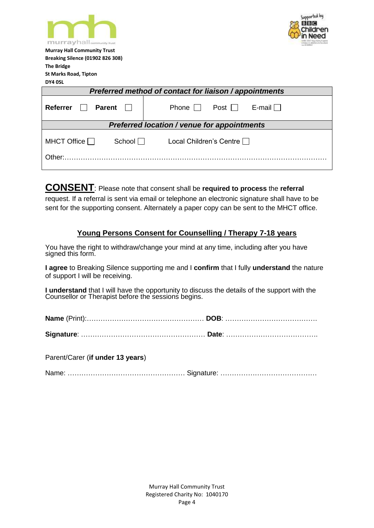| murrayhall <sub>community trust</sub>                          | Supported bu |  |
|----------------------------------------------------------------|--------------|--|
| <b>Murray Hall Community Trust</b>                             |              |  |
| <b>Breaking Silence (01902 826 308)</b>                        |              |  |
| <b>The Bridge</b>                                              |              |  |
| <b>St Marks Road, Tipton</b>                                   |              |  |
| DY4 OSL                                                        |              |  |
| Preferred method of contact for liaison / appointments         |              |  |
| <b>Referrer</b><br><b>Parent</b><br>Phone<br>Post              | E-mail       |  |
| <b>Preferred location / venue for appointments</b>             |              |  |
| MHCT Office $\Box$<br>School $\Box$<br>Local Children's Centre |              |  |
| Other:                                                         |              |  |

**CONSENT**: Please note that consent shall be **required to process** the **referral** request. If a referral is sent via email or telephone an electronic signature shall have to be sent for the supporting consent. Alternately a paper copy can be sent to the MHCT office.

## **Young Persons Consent for Counselling / Therapy 7-18 years**

You have the right to withdraw/change your mind at any time, including after you have signed this form.

**I agree** to Breaking Silence supporting me and I **confirm** that I fully **understand** the nature of support I will be receiving.

**I understand** that I will have the opportunity to discuss the details of the support with the Counsellor or Therapist before the sessions begins.

Parent/Carer (**if under 13 years**)

|--|--|